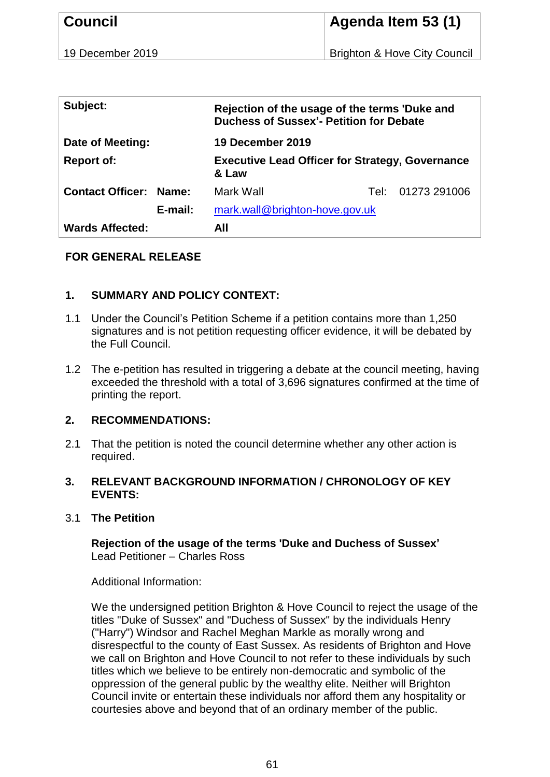| <b>Council</b>   | Agenda Item 53 (1)                      |
|------------------|-----------------------------------------|
| 19 December 2019 | <b>Brighton &amp; Hove City Council</b> |
|                  |                                         |

| Subject:                |         | Rejection of the usage of the terms 'Duke and<br><b>Duchess of Sussex'- Petition for Debate</b> |        |              |
|-------------------------|---------|-------------------------------------------------------------------------------------------------|--------|--------------|
| Date of Meeting:        |         | <b>19 December 2019</b>                                                                         |        |              |
| <b>Report of:</b>       |         | <b>Executive Lead Officer for Strategy, Governance</b><br>& Law                                 |        |              |
| <b>Contact Officer:</b> | Name:   | Mark Wall                                                                                       | Tel: I | 01273 291006 |
|                         | E-mail: | mark.wall@brighton-hove.gov.uk                                                                  |        |              |
| <b>Wards Affected:</b>  |         | All                                                                                             |        |              |

### **FOR GENERAL RELEASE**

# **1. SUMMARY AND POLICY CONTEXT:**

- 1.1 Under the Council's Petition Scheme if a petition contains more than 1,250 signatures and is not petition requesting officer evidence, it will be debated by the Full Council.
- 1.2 The e-petition has resulted in triggering a debate at the council meeting, having exceeded the threshold with a total of 3,696 signatures confirmed at the time of printing the report.

## **2. RECOMMENDATIONS:**

2.1 That the petition is noted the council determine whether any other action is required.

### **3. RELEVANT BACKGROUND INFORMATION / CHRONOLOGY OF KEY EVENTS:**

3.1 **The Petition**

**Rejection of the usage of the terms 'Duke and Duchess of Sussex'** Lead Petitioner – Charles Ross

Additional Information:

We the undersigned petition Brighton & Hove Council to reject the usage of the titles "Duke of Sussex" and "Duchess of Sussex" by the individuals Henry ("Harry") Windsor and Rachel Meghan Markle as morally wrong and disrespectful to the county of East Sussex. As residents of Brighton and Hove we call on Brighton and Hove Council to not refer to these individuals by such titles which we believe to be entirely non-democratic and symbolic of the oppression of the general public by the wealthy elite. Neither will Brighton Council invite or entertain these individuals nor afford them any hospitality or courtesies above and beyond that of an ordinary member of the public.